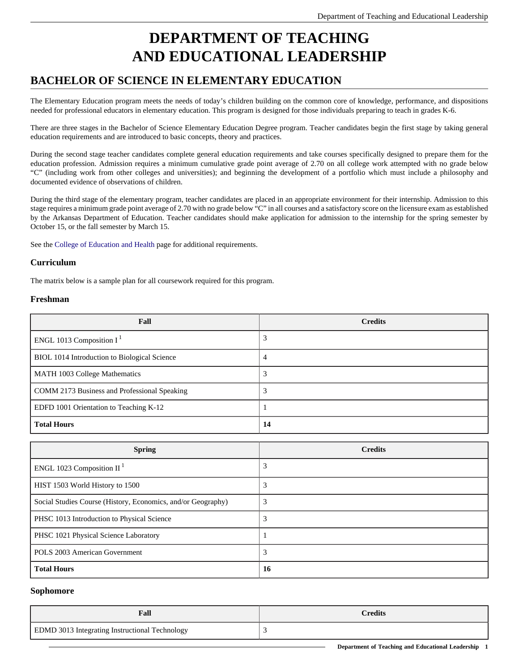# **DEPARTMENT OF TEACHING AND EDUCATIONAL LEADERSHIP**

## **BACHELOR OF SCIENCE IN ELEMENTARY EDUCATION**

The Elementary Education program meets the needs of today's children building on the common core of knowledge, performance, and dispositions needed for professional educators in elementary education. This program is designed for those individuals preparing to teach in grades K-6.

There are three stages in the Bachelor of Science Elementary Education Degree program. Teacher candidates begin the first stage by taking general education requirements and are introduced to basic concepts, theory and practices.

During the second stage teacher candidates complete general education requirements and take courses specifically designed to prepare them for the education profession. Admission requires a minimum cumulative grade point average of 2.70 on all college work attempted with no grade below "C" (including work from other colleges and universities); and beginning the development of a portfolio which must include a philosophy and documented evidence of observations of children.

During the third stage of the elementary program, teacher candidates are placed in an appropriate environment for their internship. Admission to this stage requires a minimum grade point average of 2.70 with no grade below "C" in all courses and a satisfactory score on the licensure exam as established by the Arkansas Department of Education. Teacher candidates should make application for admission to the internship for the spring semester by October 15, or the fall semester by March 15.

See the [College of Education and Health](https://www.atu.edu/oucatalog/current/undergraduate/colleges/education/index.php) page for additional requirements.

#### **Curriculum**

The matrix below is a sample plan for all coursework required for this program.

#### **Freshman**

| Fall                                         | <b>Credits</b> |
|----------------------------------------------|----------------|
| ENGL 1013 Composition $I1$                   | 3              |
| BIOL 1014 Introduction to Biological Science | 4              |
| MATH 1003 College Mathematics                | 3              |
| COMM 2173 Business and Professional Speaking | 3              |
| EDFD 1001 Orientation to Teaching K-12       |                |
| <b>Total Hours</b>                           | 14             |

| <b>Spring</b>                                                | <b>Credits</b> |
|--------------------------------------------------------------|----------------|
| ENGL 1023 Composition II <sup>1</sup>                        | 3              |
| HIST 1503 World History to 1500                              | 3              |
| Social Studies Course (History, Economics, and/or Geography) | 3              |
| PHSC 1013 Introduction to Physical Science                   |                |
| PHSC 1021 Physical Science Laboratory                        |                |
| POLS 2003 American Government                                | 3              |
| <b>Total Hours</b>                                           | 16             |

#### **Sophomore**

| Fall                                                  | <b>Credits</b> |
|-------------------------------------------------------|----------------|
| <b>EDMD 3013 Integrating Instructional Technology</b> |                |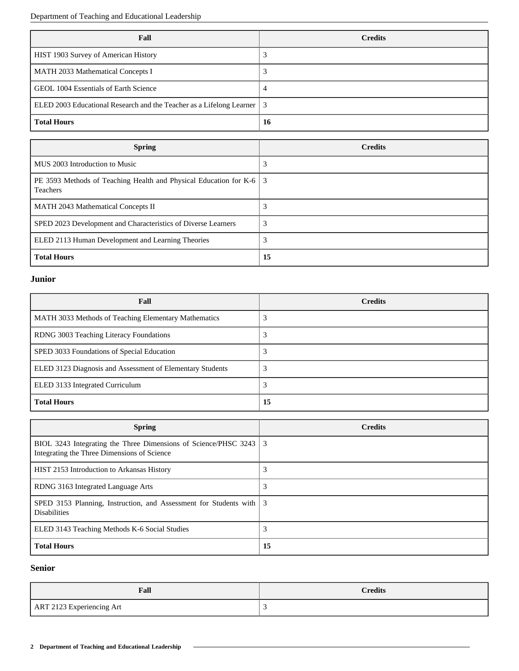Department of Teaching and Educational Leadership

| Fall                                                                     | <b>Credits</b> |
|--------------------------------------------------------------------------|----------------|
| HIST 1903 Survey of American History                                     |                |
| MATH 2033 Mathematical Concepts I                                        |                |
| GEOL 1004 Essentials of Earth Science                                    | 4              |
| ELED 2003 Educational Research and the Teacher as a Lifelong Learner   3 |                |
| <b>Total Hours</b>                                                       | 16             |

| <b>Spring</b>                                                                            | <b>Credits</b> |
|------------------------------------------------------------------------------------------|----------------|
| MUS 2003 Introduction to Music                                                           | 3              |
| PE 3593 Methods of Teaching Health and Physical Education for K-6   3<br><b>Teachers</b> |                |
| <b>MATH 2043 Mathematical Concepts II</b>                                                | 3              |
| SPED 2023 Development and Characteristics of Diverse Learners                            | 3              |
| ELED 2113 Human Development and Learning Theories                                        | 3              |
| <b>Total Hours</b>                                                                       | 15             |

#### **Junior**

| Fall                                                      | <b>Credits</b> |
|-----------------------------------------------------------|----------------|
| MATH 3033 Methods of Teaching Elementary Mathematics      |                |
| RDNG 3003 Teaching Literacy Foundations                   |                |
| SPED 3033 Foundations of Special Education                |                |
| ELED 3123 Diagnosis and Assessment of Elementary Students |                |
| ELED 3133 Integrated Curriculum                           |                |
| <b>Total Hours</b>                                        | 15             |

| <b>Spring</b>                                                                                                    | <b>Credits</b> |
|------------------------------------------------------------------------------------------------------------------|----------------|
| BIOL 3243 Integrating the Three Dimensions of Science/PHSC 3243 3<br>Integrating the Three Dimensions of Science |                |
| HIST 2153 Introduction to Arkansas History                                                                       | 3              |
| RDNG 3163 Integrated Language Arts                                                                               | 3              |
| SPED 3153 Planning, Instruction, and Assessment for Students with 3<br><b>Disabilities</b>                       |                |
| ELED 3143 Teaching Methods K-6 Social Studies                                                                    | 3              |
| <b>Total Hours</b>                                                                                               | 15             |

### **Senior**

| Fall                      | <b>Credits</b> |
|---------------------------|----------------|
| ART 2123 Experiencing Art |                |